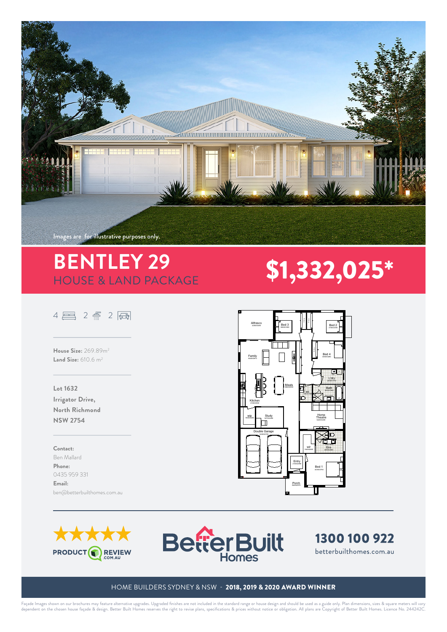

# **BENTLEY 29 \$1,332,025\***<br>HOUSE & LAND PACKAGE

## $4 \n <sup>2</sup> \n <sup>2</sup> \n <sup>3</sup>$

**House Size:** 269.89m2 **Land Size:** 610.6 m2

### **Lot 1632 Irrigator Drive, North Richmond NSW 2754**

#### **Contact:**

Ben Mallard **Phone:**  0435 959 331 **Email:**  ben@betterbuilthomes.com.au









SWP : Stormwater Pit

DH&W:Drillhole & Wing

**Emergency Contact Number located on the sign.**

### HOME BUILDERS SYDNEY & NSW - 2018, 2019 & 2020 AWARD WINNER

Façade Images shown on our brochures may feature alternative upgrades. Upgraded finishes are not included in the standard range or house design and should be used as a guide only. Plan dimensions, sizes & square meters wil